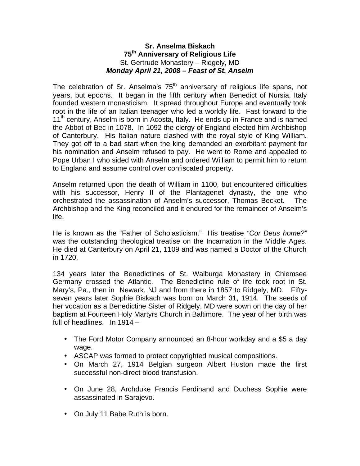## **Sr. Anselma Biskach 75th Anniversary of Religious Life** St. Gertrude Monastery – Ridgely, MD *Monday April 21, 2008 – Feast of St. Anselm*

The celebration of Sr. Anselma's  $75<sup>th</sup>$  anniversary of religious life spans, not years, but epochs. It began in the fifth century when Benedict of Nursia, Italy founded western monasticism. It spread throughout Europe and eventually took root in the life of an Italian teenager who led a worldly life. Fast forward to the 11<sup>th</sup> century, Anselm is born in Acosta, Italy. He ends up in France and is named the Abbot of Bec in 1078. In 1092 the clergy of England elected him Archbishop of Canterbury. His Italian nature clashed with the royal style of King William. They got off to a bad start when the king demanded an exorbitant payment for his nomination and Anselm refused to pay. He went to Rome and appealed to Pope Urban I who sided with Anselm and ordered William to permit him to return to England and assume control over confiscated property.

Anselm returned upon the death of William in 1100, but encountered difficulties with his successor, Henry II of the Plantagenet dynasty, the one who orchestrated the assassination of Anselm's successor, Thomas Becket. The Archbishop and the King reconciled and it endured for the remainder of Anselm's life.

He is known as the "Father of Scholasticism." His treatise *"Cor Deus home?"* was the outstanding theological treatise on the Incarnation in the Middle Ages. He died at Canterbury on April 21, 1109 and was named a Doctor of the Church in 1720.

134 years later the Benedictines of St. Walburga Monastery in Chiemsee Germany crossed the Atlantic. The Benedictine rule of life took root in St. Mary's, Pa., then in Newark, NJ and from there in 1857 to Ridgely, MD. Fiftyseven years later Sophie Biskach was born on March 31, 1914. The seeds of her vocation as a Benedictine Sister of Ridgely, MD were sown on the day of her baptism at Fourteen Holy Martyrs Church in Baltimore. The year of her birth was full of headlines. In 1914 –

- The Ford Motor Company announced an 8-hour workday and a \$5 a day wage.
- ASCAP was formed to protect copyrighted musical compositions.
- On March 27, 1914 Belgian surgeon Albert Huston made the first successful non-direct blood transfusion.
- On June 28, Archduke Francis Ferdinand and Duchess Sophie were assassinated in Sarajevo.
- On July 11 Babe Ruth is born.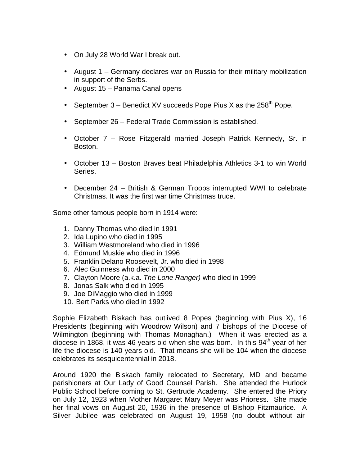- On July 28 World War I break out.
- August 1 Germany declares war on Russia for their military mobilization in support of the Serbs.
- August 15 Panama Canal opens
- September  $3$  Benedict XV succeeds Pope Pius X as the 258<sup>th</sup> Pope.
- September 26 Federal Trade Commission is established.
- October 7 Rose Fitzgerald married Joseph Patrick Kennedy, Sr. in Boston.
- October 13 Boston Braves beat Philadelphia Athletics 3-1 to win World Series.
- December 24 British & German Troops interrupted WWI to celebrate Christmas. It was the first war time Christmas truce.

Some other famous people born in 1914 were:

- 1. Danny Thomas who died in 1991
- 2. Ida Lupino who died in 1995
- 3. William Westmoreland who died in 1996
- 4. Edmund Muskie who died in 1996
- 5. Franklin Delano Roosevelt, Jr. who died in 1998
- 6. Alec Guinness who died in 2000
- 7. Clayton Moore (a.k.a. *The Lone Ranger)* who died in 1999
- 8. Jonas Salk who died in 1995
- 9. Joe DiMaggio who died in 1999
- 10. Bert Parks who died in 1992

Sophie Elizabeth Biskach has outlived 8 Popes (beginning with Pius X), 16 Presidents (beginning with Woodrow Wilson) and 7 bishops of the Diocese of Wilmington (beginning with Thomas Monaghan.) When it was erected as a diocese in 1868, it was 46 years old when she was born. In this  $94<sup>th</sup>$  year of her life the diocese is 140 years old. That means she will be 104 when the diocese celebrates its sesquicentennial in 2018.

Around 1920 the Biskach family relocated to Secretary, MD and became parishioners at Our Lady of Good Counsel Parish. She attended the Hurlock Public School before coming to St. Gertrude Academy. She entered the Priory on July 12, 1923 when Mother Margaret Mary Meyer was Prioress. She made her final vows on August 20, 1936 in the presence of Bishop Fitzmaurice. A Silver Jubilee was celebrated on August 19, 1958 (no doubt without air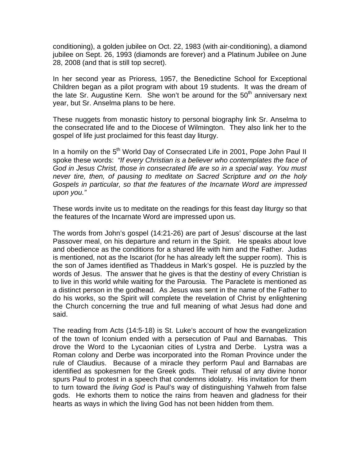conditioning), a golden jubilee on Oct. 22, 1983 (with air-conditioning), a diamond jubilee on Sept. 26, 1993 (diamonds are forever) and a Platinum Jubilee on June 28, 2008 (and that is still top secret).

In her second year as Prioress, 1957, the Benedictine School for Exceptional Children began as a pilot program with about 19 students. It was the dream of the late Sr. Augustine Kern. She won't be around for the  $50<sup>th</sup>$  anniversary next year, but Sr. Anselma plans to be here.

These nuggets from monastic history to personal biography link Sr. Anselma to the consecrated life and to the Diocese of Wilmington. They also link her to the gospel of life just proclaimed for this feast day liturgy.

In a homily on the 5<sup>th</sup> World Day of Consecrated Life in 2001, Pope John Paul II spoke these words: *"If every Christian is a believer who contemplates the face of God in Jesus Christ, those in consecrated life are so in a special way. You must never tire, then, of pausing to meditate on Sacred Scripture and on the holy Gospels in particular, so that the features of the Incarnate Word are impressed upon you."*

These words invite us to meditate on the readings for this feast day liturgy so that the features of the Incarnate Word are impressed upon us.

The words from John's gospel (14:21-26) are part of Jesus' discourse at the last Passover meal, on his departure and return in the Spirit. He speaks about love and obedience as the conditions for a shared life with him and the Father. Judas is mentioned, not as the Iscariot (for he has already left the supper room). This is the son of James identified as Thaddeus in Mark's gospel. He is puzzled by the words of Jesus. The answer that he gives is that the destiny of every Christian is to live in this world while waiting for the Parousia. The Paraclete is mentioned as a distinct person in the godhead. As Jesus was sent in the name of the Father to do his works, so the Spirit will complete the revelation of Christ by enlightening the Church concerning the true and full meaning of what Jesus had done and said.

The reading from Acts (14:5-18) is St. Luke's account of how the evangelization of the town of Iconium ended with a persecution of Paul and Barnabas. This drove the Word to the Lycaonian cities of Lystra and Derbe. Lystra was a Roman colony and Derbe was incorporated into the Roman Province under the rule of Claudius. Because of a miracle they perform Paul and Barnabas are identified as spokesmen for the Greek gods. Their refusal of any divine honor spurs Paul to protest in a speech that condemns idolatry. His invitation for them to turn toward the *living God* is Paul's way of distinguishing Yahweh from false gods. He exhorts them to notice the rains from heaven and gladness for their hearts as ways in which the living God has not been hidden from them.